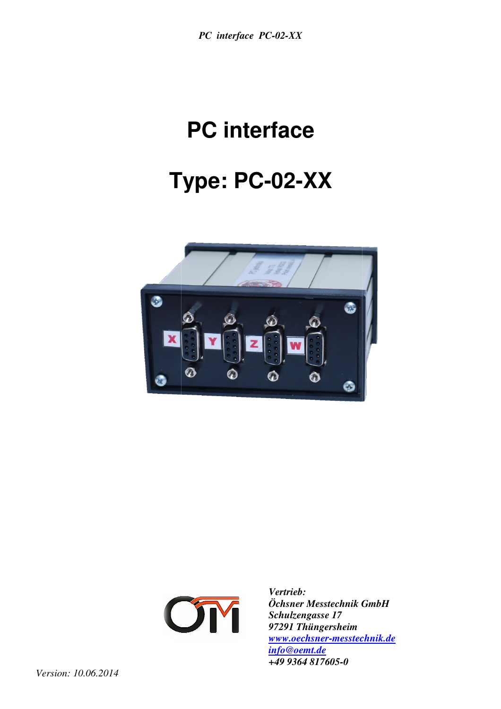# **T Type: PC-02-XX PC interface**





*Vertrieb: Öchsner Messtechnik GmbH Schulzengasse 17 97291 Thüngersheim www.oechsner-messtechnik.de messtechnik.deinfo@oemt.de +49 9364 817605-0*

*Version: 10.06.2014*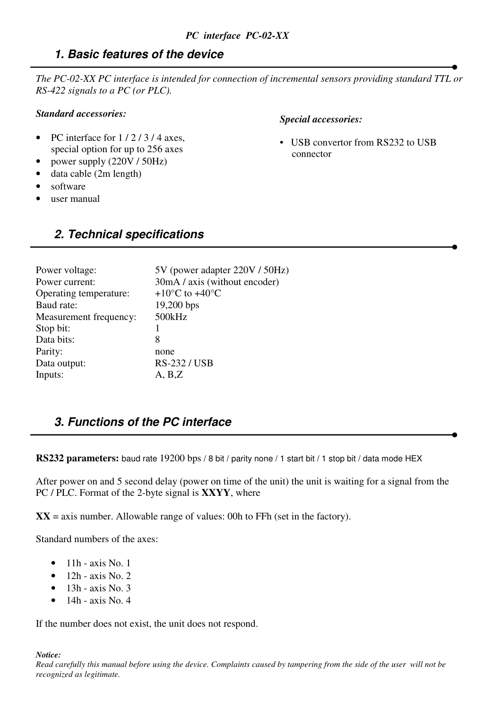# **1. Basic features of the device**

*The PC-02-XX PC interface is intended for connection of incremental sensors providing standard TTL or RS-422 signals to a PC (or PLC).* 

#### *Standard accessories:*

- PC interface for  $1/2/3/4$  axes. special option for up to 256 axes
- power supply (220V / 50Hz)
- data cable (2m length)
- software
- user manual

#### *Special accessories:*

• USB convertor from RS232 to USB connector

# **2. Technical specifications**

| 5V (power adapter 220V / 50Hz)               |
|----------------------------------------------|
| 30mA / axis (without encoder)                |
| +10 $\rm{^{\circ}C}$ to +40 $\rm{^{\circ}C}$ |
| $19,200$ bps                                 |
| 500kHz                                       |
|                                              |
| 8                                            |
| none                                         |
| <b>RS-232/USB</b>                            |
| A, B, Z                                      |
|                                              |

# **3. Functions of the PC interface**

**RS232 parameters:** baud rate 19200 bps / 8 bit / parity none / 1 start bit / 1 stop bit / data mode HEX

After power on and 5 second delay (power on time of the unit) the unit is waiting for a signal from the PC / PLC. Format of the 2-byte signal is **XXYY**, where

 $XX = axis$  number. Allowable range of values: 00h to FFh (set in the factory).

Standard numbers of the axes:

- $\bullet$  11h axis No. 1
- 12h axis No. 2
- $\bullet$  13h axis No. 3
- 14h axis No. 4

If the number does not exist, the unit does not respond.

*Notice:*